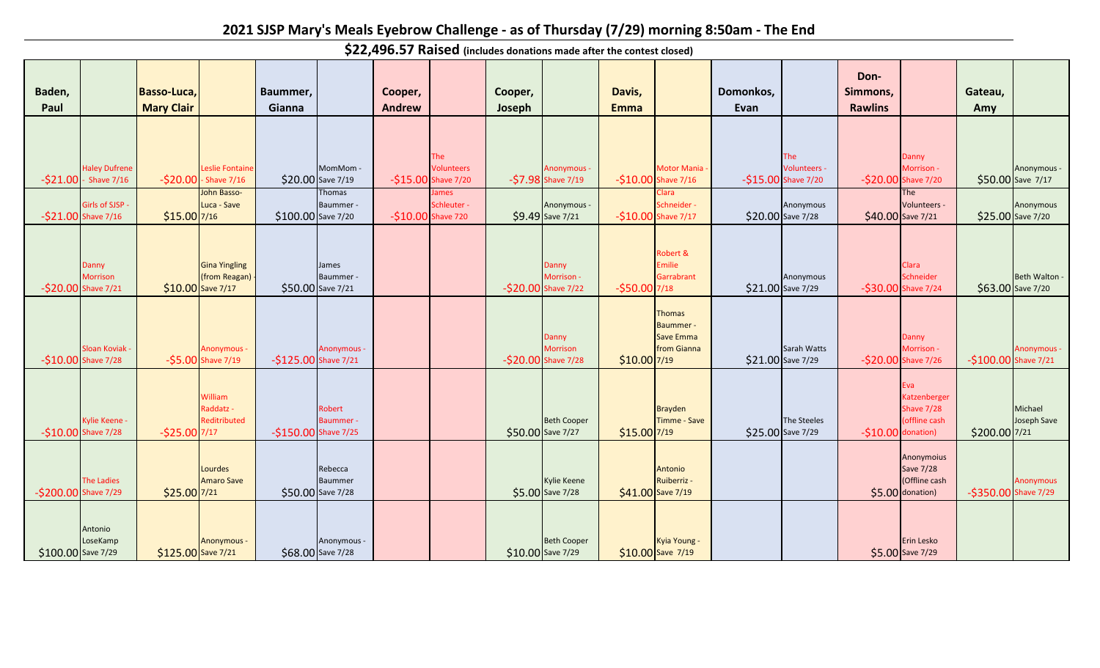## **2021 SJSP Mary's Meals Eyebrow Challenge - as of Thursday (7/29) morning 8:50am - The End**

**Baden, Paul Basso-Luca, Mary Clair Baummer, Gianna Cooper, Andrew Cooper, Joseph Davis, Emma Domonkos, Evan Don-Simmons, Rawlins Gateau, Amy**  $-$ \$21.00 - Shave 7/16  $-$ \$20.00 Haley Dufrene Leslie Fontaine  $-$ \$20.00 - Shave 7/16  $\vert$  \$20.00 Save 7/19 MomMom - Save 7/19 -\$15.00 Shave 7/20 -\$7.98 The Volunteers Anonymous -  $-57.98$  Shave  $7/19$ Motor Mania  $-510.00$  Shave  $7/16$ The Volunteers - -\$15.00 Shave 7/20 Danny Morrison - -\$20.00 Shave 7/20 Anonymous - \$50.00 Save 7/17  $-$ \$21.00 Shave 7/16  $\bigcup$  \$15.00 Girls of SJSP - John Basso-Luca - Save  $\frac{15.00}{7/16}$   $\frac{100.00}{5100.00}$  Save 7/20 Thomas Baummer - Save 7/20 -\$10.00 Shave 720 \$9.49 ames Schleuter - Anonymous - Save 7/21 -\$10.00 Shave 7/17 \$20.00 Clara Schneider - Anonymous Save 7/28 \$40.00 Save 7/21 \$25.00 The Volunteers - Anonymous \$25.00 Save 7/20 -\$20.00 Shave 7/21 \$10.00 Danny Morrison Gina Yingling (from Reagan)  $\frac{\sin 10.00}{\sin 10.00}$  Save 7/17 \$50.00 Save 7/21 James Baummer - Save 7/21 -\$20.00 Shave 7/22 -\$50.00 **Danny** Morrison - Robert & Emilie **Garrabrant** -\$50.00 7/18 \$21.00 Save 7/29 Anonymous Save 7/29 -\$30.00 Shave 7/24 \$63.00 Clara Schneider **Beth Walton** \$63.00 Save 7/20  $-$ \$10.00 Shave 7/28  $-$ \$5.00 Sloan Koviak Anonymous -<br> **S5.00** Shave 7/19 Shave 7/19 -\$125.00 Shave 7/21 -\$20.00 Anonymous - Danny Morrison  $-$ \$20.00 Shave 7/28  $\frac{1}{2}$  \$10.00 7/19 **Thomas** Baummer - Save Emma from Gianna \$21.00 Save 7/29 Sarah Watts -\$20.00 Shave 7/26 Danny Morrison - Shave 7/26 -\$100.00 Shave 7/21 Anonymous -  $-$ \$10.00 Shave 7/28  $-$ \$25.00 Kylie Keene - William Raddatz - Reditributed 7/17 -\$150.00 Shave 7/25 \$50.00 Robert Baummer - Beth Cooper  $$50.00$  Save 7/27  $$15.00$  7/19 Brayden Timme - Save \$25.00 Save 7/29 The Steeles  $-$10.00$  donation) Eva Katzenberger Shave 7/28 (offline cash donation) | \$200.00 7/21 Michael Joseph Save -\$200.00 Shave 7/29 The Ladies  $$25.00|7/21$ Lourdes Amaro Save 7/21 \$50.00 Save 7/28 \$5.00 Rebecca Baummer Kylie Keene  $$5.00$  Save 7/28 Antonio Ruiberriz -  $\frac{\text{S41.00}}{\text{S41.00}}$  Save 7/19 Anonymoius Save 7/28 (Offline cash donation) -\$350.00 Shave 7/29 Anonymous \$100.00 Save 7/29 Antonio LoseKamp Save 7/29 \$125.00 Save 7/21 \$68.00 Anonymous - Anonymous - \$68.00 Save 7/28 Beth Cooper  $$10.00$  Save 7/29 Kyia Young -  $$10.00$  Save  $7/19$ Erin Lesko \$5.00 Save 7/29

**\$22,496.57 Raised (includes donations made after the contest closed)**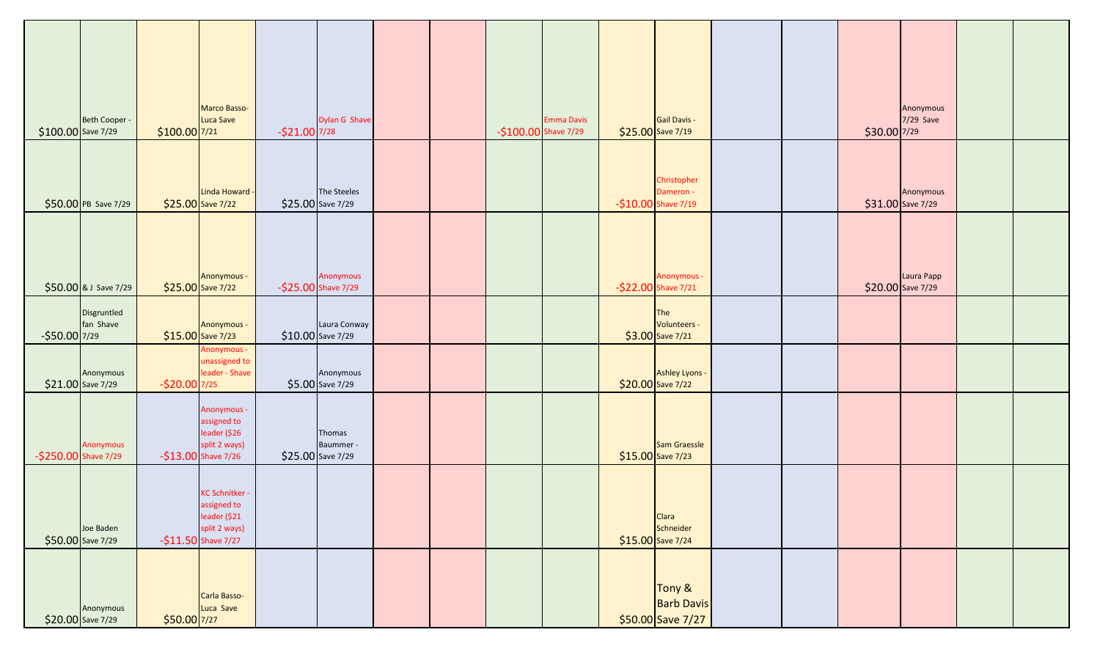|                      | Beth Cooper -                  |                | <b>Marco Basso-</b><br>Luca Save                                                              |                | Dylan G Shave                            |  |                      | <b>Emma Davis</b> | Gail Davis -                                                          |  |                                    | Anonymous<br>$7/29$ Save |  |
|----------------------|--------------------------------|----------------|-----------------------------------------------------------------------------------------------|----------------|------------------------------------------|--|----------------------|-------------------|-----------------------------------------------------------------------|--|------------------------------------|--------------------------|--|
| \$100.00 Save 7/29   | \$50.00 PB Save 7/29           | \$100.00 7/21  | Linda Howard -<br>$$25.00$ Save 7/22                                                          | $-521.00$ 7/28 | The Steeles<br>\$25.00 Save 7/29         |  | -\$100.00 Shave 7/29 |                   | $$25.00$ Save 7/19<br>Christopher<br>Dameron -<br>-\$10.00 Shave 7/19 |  | $$30.00$ 7/29<br>\$31.00 Save 7/29 | Anonymous                |  |
|                      | $$50.00$ & J Save 7/29         |                | Anonymous -<br>$$25.00$ Save 7/22                                                             |                | Anonymous<br>-\$25.00 Shave 7/29         |  |                      |                   | Anonymous -<br>-\$22.00 Shave 7/21                                    |  | \$20.00 Save 7/29                  | Laura Papp               |  |
| $-$ \$50.00 7/29     | Disgruntled<br>fan Shave       |                | Anonymous -<br>$$15.00$ Save 7/23                                                             |                | Laura Conway<br>\$10.00 Save 7/29        |  |                      |                   | The<br>Volunteers -<br>\$3.00 Save 7/21                               |  |                                    |                          |  |
|                      | Anonymous<br>\$21.00 Save 7/29 | $-$20.00$ 7/25 | Anonymous -<br>unassigned to<br>leader - Shave                                                |                | Anonymous<br>\$5.00 Save 7/29            |  |                      |                   | <b>Ashley Lyons -</b><br>\$20.00 Save 7/22                            |  |                                    |                          |  |
| -\$250.00 Shave 7/29 | Anonymous                      |                | Anonymous -<br>assigned to<br>leader (\$26<br>split 2 ways)<br>$-$13.00$ Shave 7/26           |                | Thomas<br>Baummer -<br>\$25.00 Save 7/29 |  |                      |                   | Sam Graessle<br>\$15.00 Save 7/23                                     |  |                                    |                          |  |
|                      | Joe Baden<br>\$50.00 Save 7/29 |                | <b>KC Schnitker</b><br>assigned to<br>leader (\$21<br>split 2 ways)<br>$-$11.50$ Shave $7/27$ |                |                                          |  |                      |                   | Clara<br>Schneider<br>$$15.00$ Save 7/24                              |  |                                    |                          |  |
|                      | Anonymous<br>\$20.00 Save 7/29 | $$50.00$ 7/27  | Carla Basso-<br>Luca Save                                                                     |                |                                          |  |                      |                   | Tony &<br><b>Barb Davis</b><br>\$50.00 Save $7/27$                    |  |                                    |                          |  |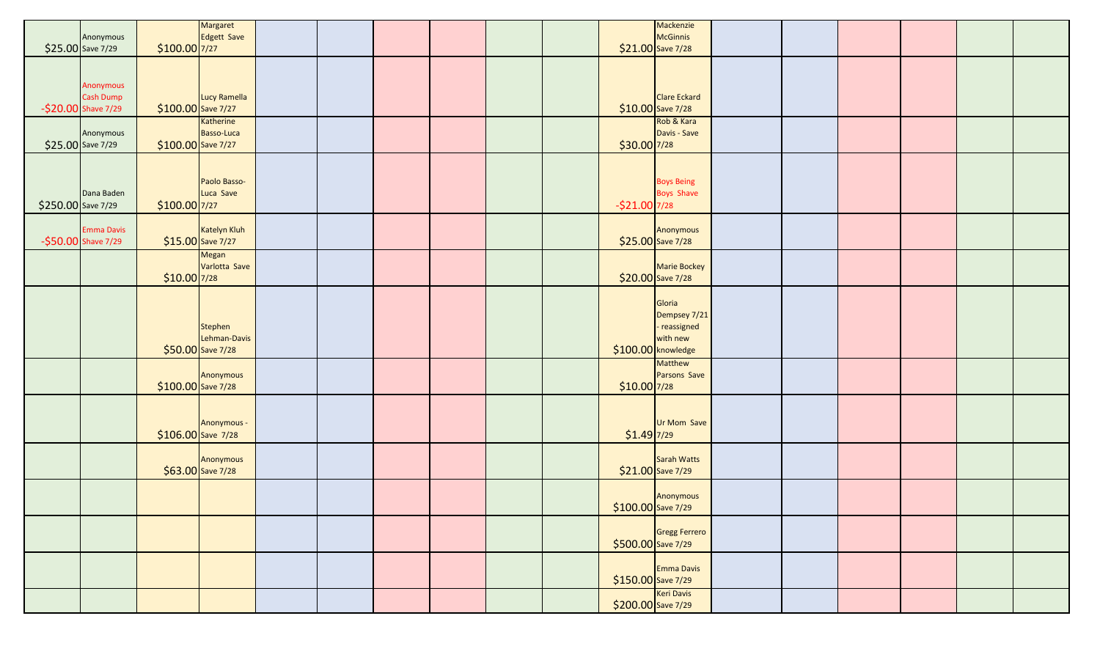|                    |                                               |                     | Margaret                                      |  |  |  |                | Mackenzie                                                                                |  |  |  |
|--------------------|-----------------------------------------------|---------------------|-----------------------------------------------|--|--|--|----------------|------------------------------------------------------------------------------------------|--|--|--|
|                    | Anonymous                                     |                     | Edgett Save                                   |  |  |  |                | McGinnis                                                                                 |  |  |  |
|                    | \$25.00 Save 7/29                             | $$100.00$ 7/27      |                                               |  |  |  |                | $$21.00$ Save 7/28                                                                       |  |  |  |
|                    | Anonymous<br>Cash Dump<br>-\$20.00 Shave 7/29 | $$100.00$ Save 7/27 | Lucy Ramella                                  |  |  |  |                | <b>Clare Eckard</b><br>$$10.00$ Save 7/28                                                |  |  |  |
|                    | Anonymous<br>\$25.00 Save 7/29                | $$100.00$ Save 7/27 | Katherine<br>Basso-Luca                       |  |  |  | $$30.00$ 7/28  | Rob & Kara<br>Davis - Save                                                               |  |  |  |
| \$250.00 Save 7/29 | Dana Baden                                    | \$100.00 7/27       | Paolo Basso-<br>Luca Save                     |  |  |  | $-521.00$ 7/28 | <b>Boys Being</b><br><b>Boys Shave</b>                                                   |  |  |  |
|                    | <b>Emma Davis</b><br>-\$50.00 Shave 7/29      |                     | Katelyn Kluh<br>$$15.00$ Save 7/27            |  |  |  |                | Anonymous<br>$$25.00$ Save 7/28                                                          |  |  |  |
|                    |                                               | $$10.00$ 7/28       | <b>Megan</b><br>Varlotta Save                 |  |  |  |                | Marie Bockey<br>\$20.00 Save 7/28                                                        |  |  |  |
|                    |                                               |                     | Stephen<br>Lehman-Davis<br>$$50.00$ Save 7/28 |  |  |  |                | Gloria<br>Dempsey 7/21<br>- reassigned<br>with new<br>\$100.00 knowledge                 |  |  |  |
|                    |                                               | $$100.00$ Save 7/28 | Anonymous                                     |  |  |  | $$10.00$ 7/28  | Matthew<br>Parsons Save                                                                  |  |  |  |
|                    |                                               |                     | Anonymous -<br>$$106.00$ Save 7/28            |  |  |  | $$1.49$ 7/29   | Ur Mom Save                                                                              |  |  |  |
|                    |                                               |                     | Anonymous<br>$$63.00$ Save 7/28               |  |  |  |                | Sarah Watts<br>\$21.00 Save 7/29                                                         |  |  |  |
|                    |                                               |                     |                                               |  |  |  |                | Anonymous<br>$$100.00$ Save 7/29                                                         |  |  |  |
|                    |                                               |                     |                                               |  |  |  |                | Gregg Ferrero                                                                            |  |  |  |
|                    |                                               |                     |                                               |  |  |  |                | Emma Davis                                                                               |  |  |  |
|                    |                                               |                     |                                               |  |  |  |                | $\frac{$150.00}{$200.00}$ Save 7/29<br>Keri Davis<br>$\frac{$200.00}{$200.00}$ Save 7/29 |  |  |  |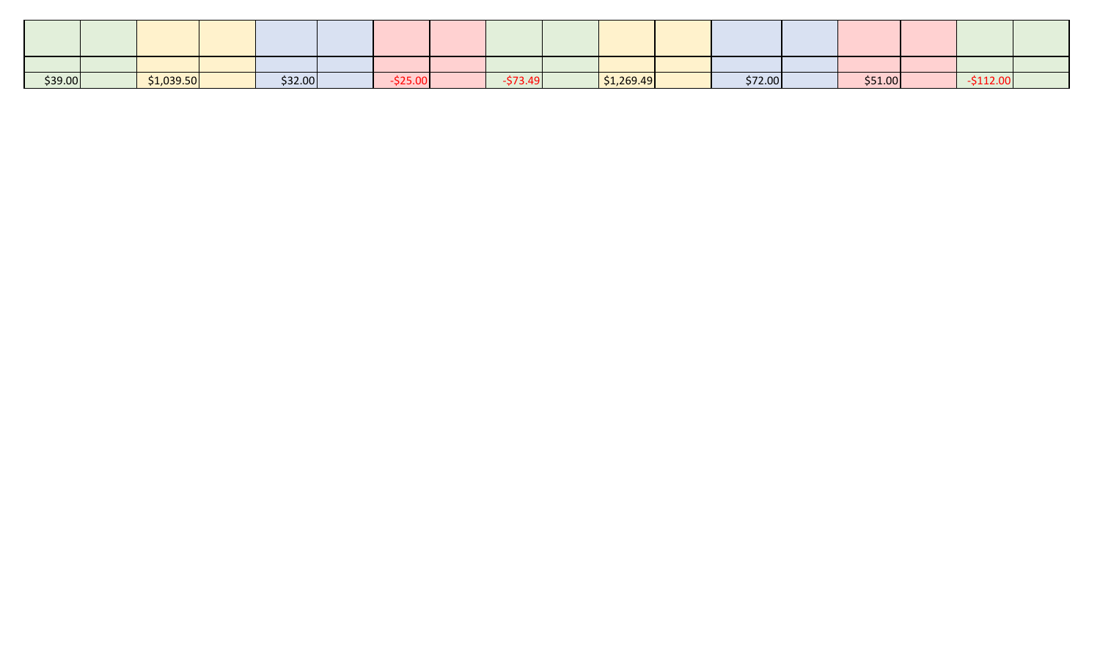| \$39.00 | \$1,039.50 | \$32.00 | $-0.00 -$ | $\sim$ $\sim$ $\sim$ $\sim$ | \$1,269.49 | \$72.00 | \$51.00 |  |  |
|---------|------------|---------|-----------|-----------------------------|------------|---------|---------|--|--|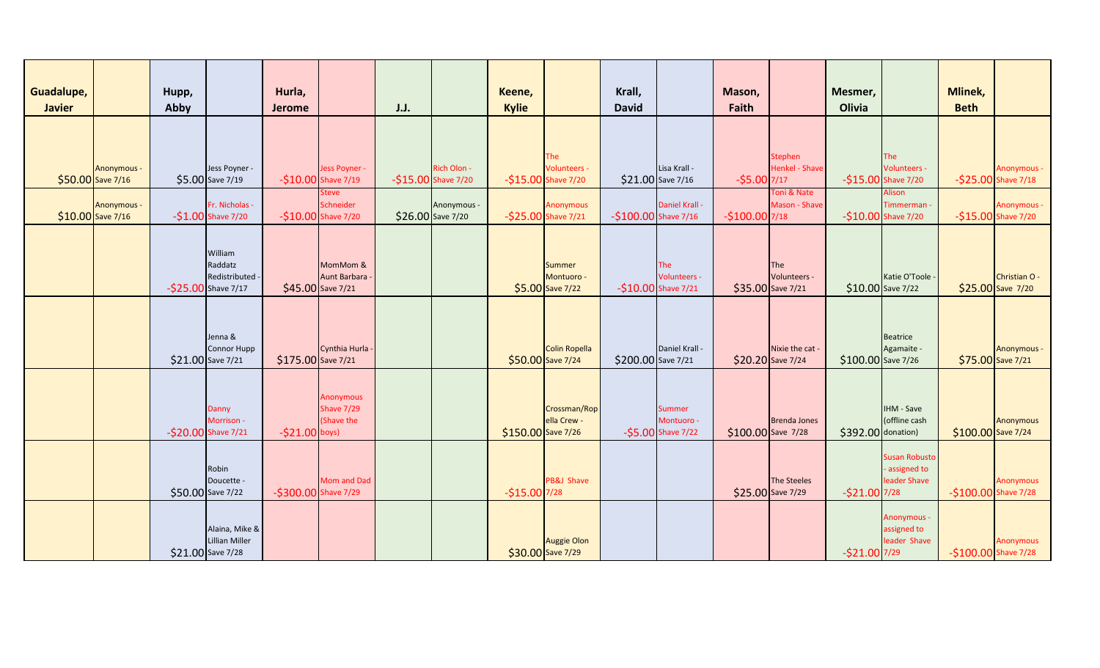| Guadalupe,<br><b>Javier</b> |                                          | Hupp,<br>Abby     |                                                            | Hurla,<br>Jerome     |                                               | J.J. |                                    | Keene,<br><b>Kylie</b> |                                                 | Krall,<br><b>David</b> |                                            | Mason,<br>Faith |                                           | Mesmer,<br>Olivia  |                                                       | Mlinek,<br><b>Beth</b> |                                           |
|-----------------------------|------------------------------------------|-------------------|------------------------------------------------------------|----------------------|-----------------------------------------------|------|------------------------------------|------------------------|-------------------------------------------------|------------------------|--------------------------------------------|-----------------|-------------------------------------------|--------------------|-------------------------------------------------------|------------------------|-------------------------------------------|
|                             | <b>Anonymous -</b><br>\$50.00 Save 7/16  |                   | Jess Poyner -<br>\$5.00 Save 7/19                          |                      | Jess Poyner -<br>$-$10.00$ Shave $7/19$       |      | Rich Olon -<br>-\$15.00 Shave 7/20 |                        | The<br>Volunteers -<br>-\$15.00 Shave 7/20      |                        | Lisa Krall -<br>\$21.00 Save 7/16          | $-55.00$ 7/17   | Stephen<br><b>Henkel - Shave</b>          |                    | The<br>Volunteers -<br>-\$15.00 Shave 7/20            |                        | <b>Anonymous -</b><br>-\$25.00 Shave 7/18 |
|                             | <b>Anonymous -</b><br>$$10.00$ Save 7/16 |                   | Fr. Nicholas -<br>$-51.00$ Shave 7/20                      |                      | Steve<br>Schneider<br>-\$10.00 Shave 7/20     |      | Anonymous -<br>\$26.00 Save 7/20   |                        | <b>Anonymous</b><br>-\$25.00 Shave 7/21         | $-$100.00$ Shave 7/16  | Daniel Krall                               | $-$100.00$ 7/18 | Toni & Nate<br>Mason - Shave              |                    | Alison<br>Timmerman -<br>-\$10.00 Shave 7/20          |                        | Anonymous -<br>-\$15.00 Shave 7/20        |
|                             |                                          |                   | William<br>Raddatz<br>Redistributed<br>-\$25.00 Shave 7/17 |                      | MomMom &<br>Aunt Barbara<br>\$45.00 Save 7/21 |      |                                    |                        | <b>Summer</b><br>Montuoro -<br>\$5.00 Save 7/22 |                        | The<br>Volunteers -<br>-\$10.00 Shave 7/21 |                 | The<br>Volunteers -<br>\$35.00 Save 7/21  | \$10.00 Save 7/22  | Katie O'Toole -                                       |                        | Christian O -<br>\$25.00 Save 7/20        |
|                             |                                          |                   | Jenna &<br>Connor Hupp<br>\$21.00 Save 7/21                | \$175.00 Save 7/21   | Cynthia Hurla                                 |      |                                    |                        | <b>Colin Ropella</b><br>\$50.00 Save 7/24       | \$200.00 Save 7/21     | Daniel Krall -                             |                 | Nixie the cat -<br>\$20.20 Save 7/24      | \$100.00 Save 7/26 | Beatrice<br>Agamaite -                                | \$75.00 Save 7/21      | <b>Anonymous -</b>                        |
|                             |                                          |                   | Danny<br>Morrison -<br>-\$20.00 Shave 7/21                 | $-521.00$ boys)      | Anonymous<br><b>Shave 7/29</b><br>(Shave the  |      |                                    | \$150.00 Save 7/26     | Crossman/Rop<br>ella Crew -                     |                        | Summer<br>Montuoro -<br>-\$5.00 Shave 7/22 |                 | <b>Brenda Jones</b><br>\$100.00 Save 7/28 | \$392.00 donation) | <b>IHM - Save</b><br>(offline cash                    | \$100.00 Save 7/24     | <b>Anonymous</b>                          |
|                             |                                          | \$50.00 Save 7/22 | Robin<br>Doucette -                                        | -\$300.00 Shave 7/29 | Mom and Dad                                   |      |                                    | $-$15.00$ 7/28         | PB&J Shave                                      |                        |                                            |                 | The Steeles<br>\$25.00 Save 7/29          | $-521.00$ 7/28     | <b>Susan Robusto</b><br>- assigned to<br>leader Shave | -\$100.00 Shave 7/28   | Anonymous                                 |
|                             |                                          |                   | Alaina, Mike &<br>Lillian Miller<br>\$21.00 Save 7/28      |                      |                                               |      |                                    | \$30.00 Save 7/29      | <b>Auggie Olon</b>                              |                        |                                            |                 |                                           | $-521.00$ 7/29     | Anonymous -<br>assigned to<br>leader Shave            | $-$100.00$ Shave 7/28  | <b>Anonymous</b>                          |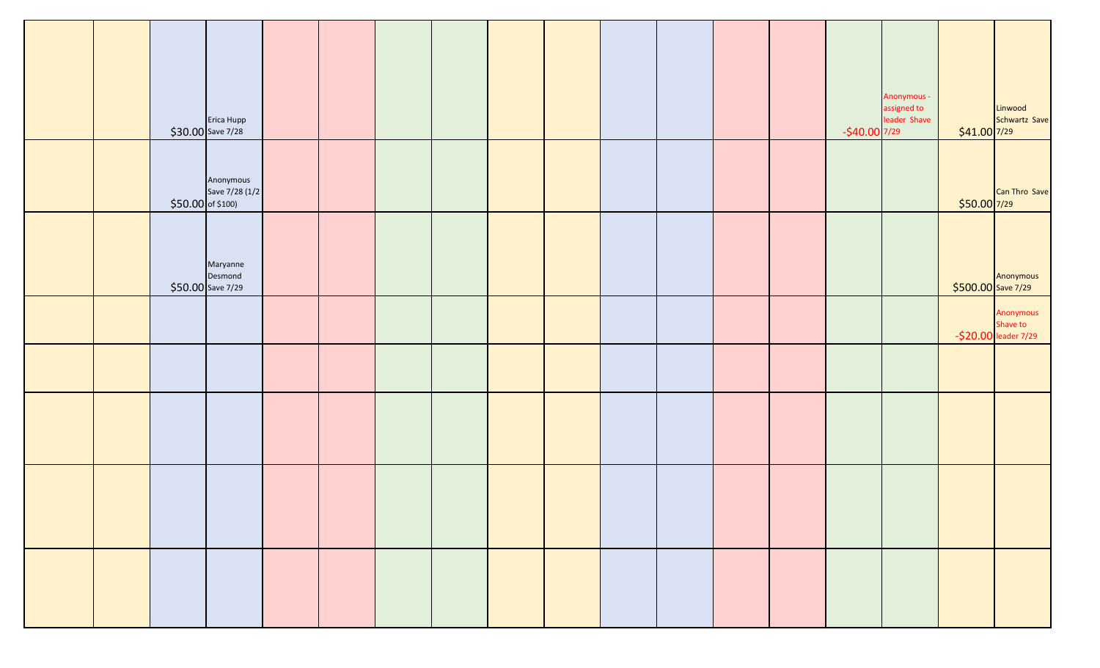|  |                    | Erica Hupp<br>$$30.00$ Save 7/28          |  |  |  |  |  | $-$40.00$ 7/29 | Anonymous -<br>assigned to<br>leader Shave | $$41.00$ 7/29 | Linwood<br>Schwartz Save                      |
|--|--------------------|-------------------------------------------|--|--|--|--|--|----------------|--------------------------------------------|---------------|-----------------------------------------------|
|  | $$50.00$ of \$100) | Anonymous<br>Save 7/28 (1/2               |  |  |  |  |  |                |                                            | $$50.00$ 7/29 | Can Thro Save                                 |
|  |                    | Maryanne<br>Desmond<br>$$50.00$ Save 7/29 |  |  |  |  |  |                |                                            |               | Anonymous<br>\$500.00 Save 7/29               |
|  |                    |                                           |  |  |  |  |  |                |                                            |               | Anonymous<br>Shave to<br>-\$20.00 leader 7/29 |
|  |                    |                                           |  |  |  |  |  |                |                                            |               |                                               |
|  |                    |                                           |  |  |  |  |  |                |                                            |               |                                               |
|  |                    |                                           |  |  |  |  |  |                |                                            |               |                                               |
|  |                    |                                           |  |  |  |  |  |                |                                            |               |                                               |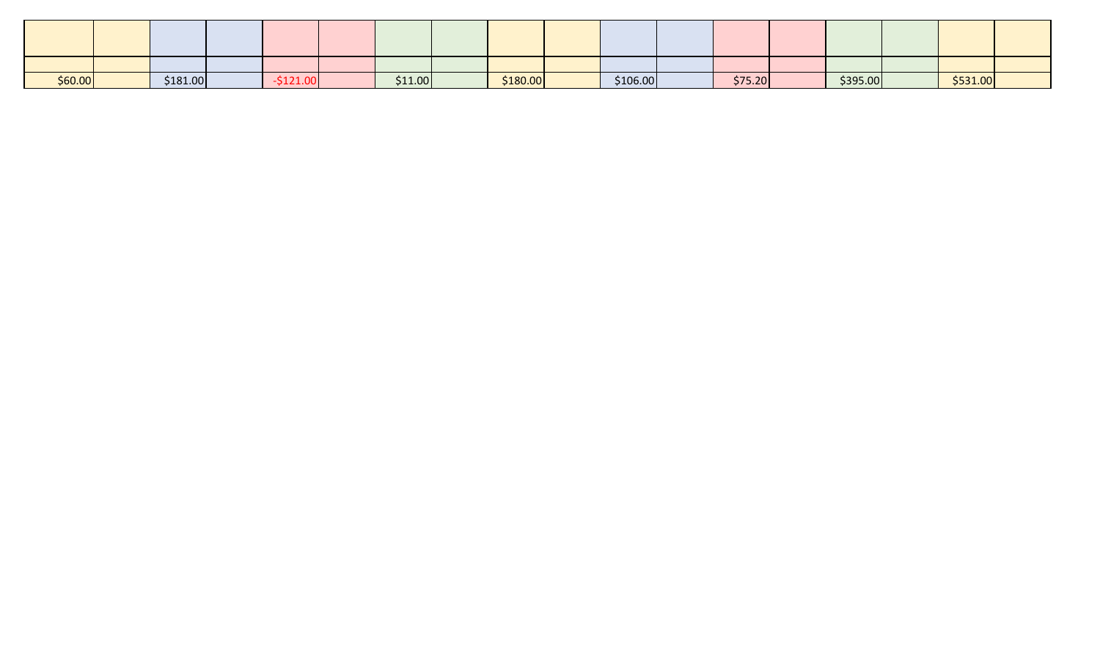| \$60.00 | \$181.00 |  | \$11.00 | \$180.00 | \$106.00 | \$75.20 | \$395.00 | \$531.00 |  |
|---------|----------|--|---------|----------|----------|---------|----------|----------|--|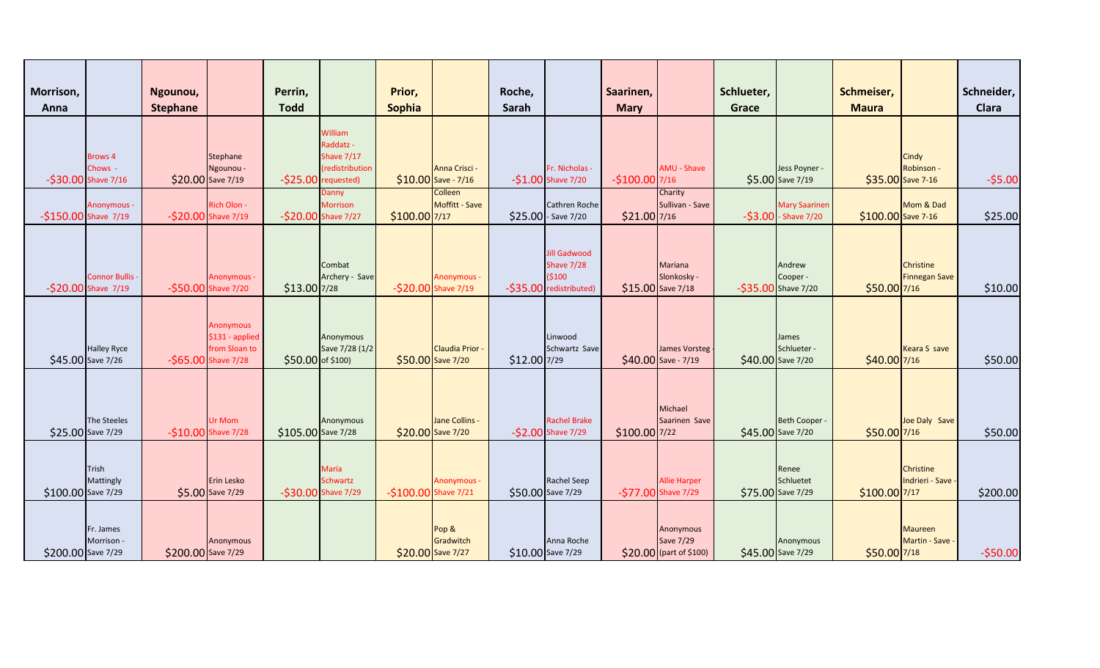| Morrison,<br>Anna     |                                                     | Ngounou,<br><b>Stephane</b> |                                                                      | Perrin,<br><b>Todd</b> |                                                                            | Prior,<br>Sophia     |                                           | Roche,<br>Sarah   |                                                                               | Saarinen,<br><b>Mary</b> |                                                    | Schlueter,<br>Grace |                                               | Schmeiser,<br><b>Maura</b> |                                          | Schneider,<br>Clara |
|-----------------------|-----------------------------------------------------|-----------------------------|----------------------------------------------------------------------|------------------------|----------------------------------------------------------------------------|----------------------|-------------------------------------------|-------------------|-------------------------------------------------------------------------------|--------------------------|----------------------------------------------------|---------------------|-----------------------------------------------|----------------------------|------------------------------------------|---------------------|
|                       | <b>Brows 4</b><br>Chows -<br>$-530.00$ Shave $7/16$ |                             | Stephane<br>Ngounou -<br>\$20.00 Save 7/19                           | $-525.00$              | William<br>Raddatz -<br><b>Shave 7/17</b><br>(redistribution<br>requested) |                      | Anna Crisci -<br>$$10.00$ Save - 7/16     |                   | Fr. Nicholas -<br>$-51.00$ Shave $7/20$                                       | $-$100.00$ 7/16          | AMU - Shave                                        |                     | Jess Poyner -<br>\$5.00 Save 7/19             |                            | Cindy<br>Robinson -<br>\$35.00 Save 7-16 | $-55.00$            |
| $-$150.00$ Shave 7/19 | Anonymous -                                         |                             | Rich Olon -<br>-\$20.00 Shave 7/19                                   |                        | Danny<br><b>Morrison</b><br>-\$20.00 Shave 7/27                            | \$100.00 7/17        | Colleen<br>Moffitt - Save                 |                   | Cathren Roche<br>\$25.00 - Save 7/20                                          | $$21.00$ 7/16            | Charity<br>Sullivan - Save                         |                     | <b>Mary Saarinen</b><br>$-53.00$ - Shave 7/20 | \$100.00 Save 7-16         | Mom & Dad                                | \$25.00             |
|                       | <b>Connor Bullis</b><br>-\$20.00 Shave 7/19         |                             | Anonymous -<br>-\$50.00 Shave 7/20                                   | \$13.00 7/28           | Combat<br>Archery - Save                                                   |                      | <b>Anonymous -</b><br>-\$20.00 Shave 7/19 |                   | <b>Jill Gadwood</b><br><b>Shave 7/28</b><br>(5100)<br>-\$35.00 redistributed) |                          | Mariana<br>Slonkosky -<br>\$15.00 Save 7/18        |                     | Andrew<br>Cooper -<br>$-535.00$ Shave 7/20    | \$50.00 7/16               | Christine<br><b>Finnegan Save</b>        | \$10.00             |
|                       | <b>Halley Ryce</b><br>\$45.00 Save 7/26             |                             | Anonymous<br>\$131 - applied<br>from Sloan to<br>-\$65.00 Shave 7/28 | \$50.00 of \$100)      | Anonymous<br>Save 7/28 (1/2                                                |                      | <b>Claudia Prior</b><br>\$50.00 Save 7/20 | \$12.00 7/29      | Linwood<br>Schwartz Save                                                      |                          | James Vorsteg<br>\$40.00 Save - 7/19               |                     | James<br>Schlueter -<br>\$40.00 Save 7/20     | \$40.00 7/16               | <b>Keara S save</b>                      | \$50.00             |
|                       | The Steeles<br>\$25.00 Save 7/29                    |                             | Ur Mom<br>-\$10.00 Shave 7/28                                        | \$105.00 Save 7/28     | Anonymous                                                                  |                      | Jane Collins -<br>\$20.00 Save 7/20       |                   | <b>Rachel Brake</b><br>-\$2.00 Shave 7/29                                     | \$100.00 7/22            | Michael<br>Saarinen Save                           |                     | Beth Cooper -<br>\$45.00 Save 7/20            | \$50.00 7/16               | Joe Daly Save                            | \$50.00             |
| \$100.00 Save 7/29    | Trish<br>Mattingly                                  |                             | Erin Lesko<br>\$5.00 Save 7/29                                       |                        | <b>Maria</b><br><b>Schwartz</b><br>-\$30.00 Shave 7/29                     | -\$100.00 Shave 7/21 | Anonymous -                               | \$50.00 Save 7/29 | <b>Rachel Seep</b>                                                            |                          | <b>Allie Harper</b><br>-\$77.00 Shave 7/29         |                     | Renee<br>Schluetet<br>\$75.00 Save 7/29       | \$100.00 7/17              | Christine<br>Indrieri - Save -           | \$200.00            |
| \$200.00 Save 7/29    | Fr. James<br>Morrison -                             | \$200.00 Save 7/29          | Anonymous                                                            |                        |                                                                            |                      | Pop &<br>Gradwitch<br>\$20.00 Save 7/27   |                   | Anna Roche<br>\$10.00 Save 7/29                                               |                          | Anonymous<br>Save 7/29<br>$$20.00$ (part of \$100) |                     | Anonymous<br>\$45.00 Save 7/29                | \$50.00 7/18               | <b>Maureen</b><br>Martin - Save -        | $-550.00$           |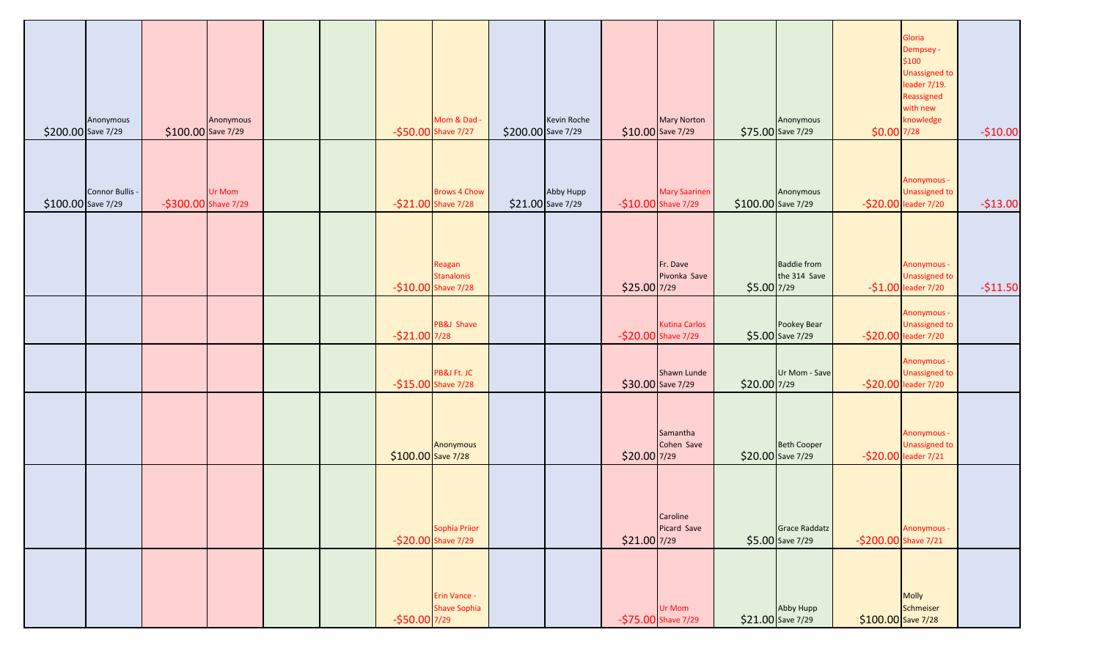| \$200.00 Save 7/29 | Anonymous       | \$100.00 Save 7/29   | Anonymous |  |                     | Mom & Dad<br>-\$50.00 Shave 7/27                   | \$200.00 Save 7/29 | Kevin Roche                    |               | <b>Mary Norton</b><br>\$10.00 Save 7/29     |                    | Anonymous<br>\$75.00 Save 7/29          | \$0.00 7/28          | Gloria<br>Dempsey -<br>\$100<br><b>Unassigned to</b><br>leader 7/19.<br>Reassigned<br>with new<br>knowledge | $-$10.00$ |
|--------------------|-----------------|----------------------|-----------|--|---------------------|----------------------------------------------------|--------------------|--------------------------------|---------------|---------------------------------------------|--------------------|-----------------------------------------|----------------------|-------------------------------------------------------------------------------------------------------------|-----------|
| \$100.00 Save 7/29 | Connor Bullis - | -\$300.00 Shave 7/29 | Ur Mom    |  |                     | <b>Brows 4 Chow</b><br>$-521.00$ Shave 7/28        |                    | Abby Hupp<br>\$21.00 Save 7/29 |               | <b>Mary Saarinen</b><br>-\$10.00 Shave 7/29 | \$100.00 Save 7/29 | Anonymous                               |                      | Anonymous -<br><b>Unassigned to</b><br>-\$20.00 leader 7/20                                                 | $-$13.00$ |
|                    |                 |                      |           |  |                     | Reagan<br><b>Stanalonis</b><br>-\$10.00 Shave 7/28 |                    |                                | \$25.00 7/29  | Fr. Dave<br>Pivonka Save                    | \$5.00 7/29        | <b>Baddie from</b><br>the 314 Save      |                      | Anonymous -<br><b>Unassigned to</b><br>$-$1.00$ leader $7/20$                                               | $-511.50$ |
|                    |                 |                      |           |  | $-521.00$ 7/28      | PB&J Shave                                         |                    |                                |               | <b>Kutina Carlos</b><br>-\$20.00 Shave 7/29 |                    | Pookey Bear<br>\$5.00 Save 7/29         |                      | Anonymous -<br><b>Unassigned to</b><br>-\$20.00 leader 7/20                                                 |           |
|                    |                 |                      |           |  |                     | PB&J Ft. JC<br>-\$15.00 Shave 7/28                 |                    |                                |               | Shawn Lunde<br>\$30.00 Save 7/29            | \$20.00 7/29       | Ur Mom - Save                           |                      | Anonymous -<br><b>Unassigned to</b><br>-\$20.00 leader 7/20                                                 |           |
|                    |                 |                      |           |  | $$100.00$ Save 7/28 | Anonymous                                          |                    |                                | \$20.00 7/29  | Samantha<br>Cohen Save                      |                    | <b>Beth Cooper</b><br>\$20.00 Save 7/29 |                      | Anonymous -<br><b>Unassigned to</b><br>-\$20.00 leader 7/21                                                 |           |
|                    |                 |                      |           |  |                     | Sophia Priior<br>-\$20.00 Shave 7/29               |                    |                                | $$21.00$ 7/29 | Caroline<br>Picard Save                     |                    | Grace Raddatz<br>\$5.00 Save 7/29       | -\$200.00 Shave 7/21 | Anonymous -                                                                                                 |           |
|                    |                 |                      |           |  | $-$ \$50.00 7/29    | Erin Vance -<br><b>Shave Sophia</b>                |                    |                                |               | Ur Mom<br>-\$75.00 Shave 7/29               |                    | Abby Hupp<br>\$21.00 Save 7/29          | $$100.00$ Save 7/28  | Molly<br>Schmeiser                                                                                          |           |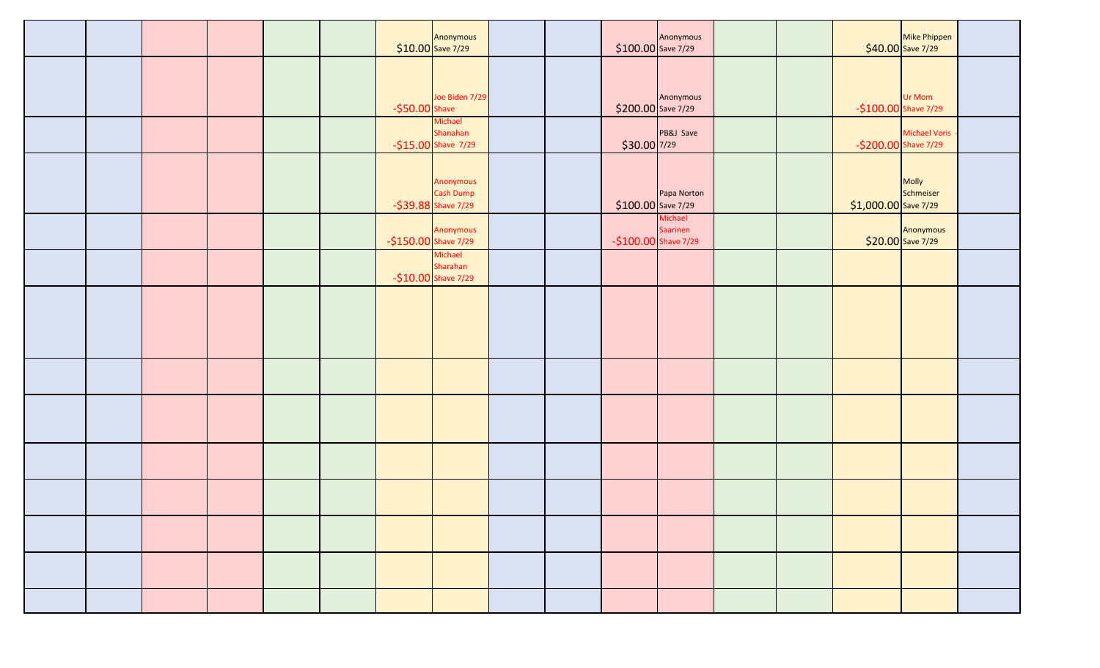|  |  |  |                       | Anonymous<br>$$10.00$ Save 7/29               |  | $$100.00$ Save 7/29  | Anonymous           |  |                       | Mike Phippen<br>$$40.00$ Save 7/29 |  |
|--|--|--|-----------------------|-----------------------------------------------|--|----------------------|---------------------|--|-----------------------|------------------------------------|--|
|  |  |  | $-550.00$ Shave       | Joe Biden 7/29                                |  | \$200.00 Save 7/29   | Anonymous           |  | $-$100.00$ Shave 7/29 | Ur Mom                             |  |
|  |  |  |                       | Michael<br>Shanahan<br>$-$15.00$ Shave $7/29$ |  | $$30.00$ 7/29        | PB&J Save           |  | -\$200.00 Shave 7/29  | Michael Voris                      |  |
|  |  |  |                       | Anonymous<br>Cash Dump<br>-\$39.88 Shave 7/29 |  | \$100.00 Save 7/29   | Papa Norton         |  | $$1,000.00$ Save 7/29 | Molly<br>Schmeiser                 |  |
|  |  |  | $-$150.00$ Shave 7/29 | Anonymous                                     |  | -\$100.00 Shave 7/29 | Michael<br>Saarinen |  |                       | Anonymous<br>$$20.00$ Save 7/29    |  |
|  |  |  |                       | Michael<br>Sharahan<br>$-$10.00$ Shave 7/29   |  |                      |                     |  |                       |                                    |  |
|  |  |  |                       |                                               |  |                      |                     |  |                       |                                    |  |
|  |  |  |                       |                                               |  |                      |                     |  |                       |                                    |  |
|  |  |  |                       |                                               |  |                      |                     |  |                       |                                    |  |
|  |  |  |                       |                                               |  |                      |                     |  |                       |                                    |  |
|  |  |  |                       |                                               |  |                      |                     |  |                       |                                    |  |
|  |  |  |                       |                                               |  |                      |                     |  |                       |                                    |  |
|  |  |  |                       |                                               |  |                      |                     |  |                       |                                    |  |
|  |  |  |                       |                                               |  |                      |                     |  |                       |                                    |  |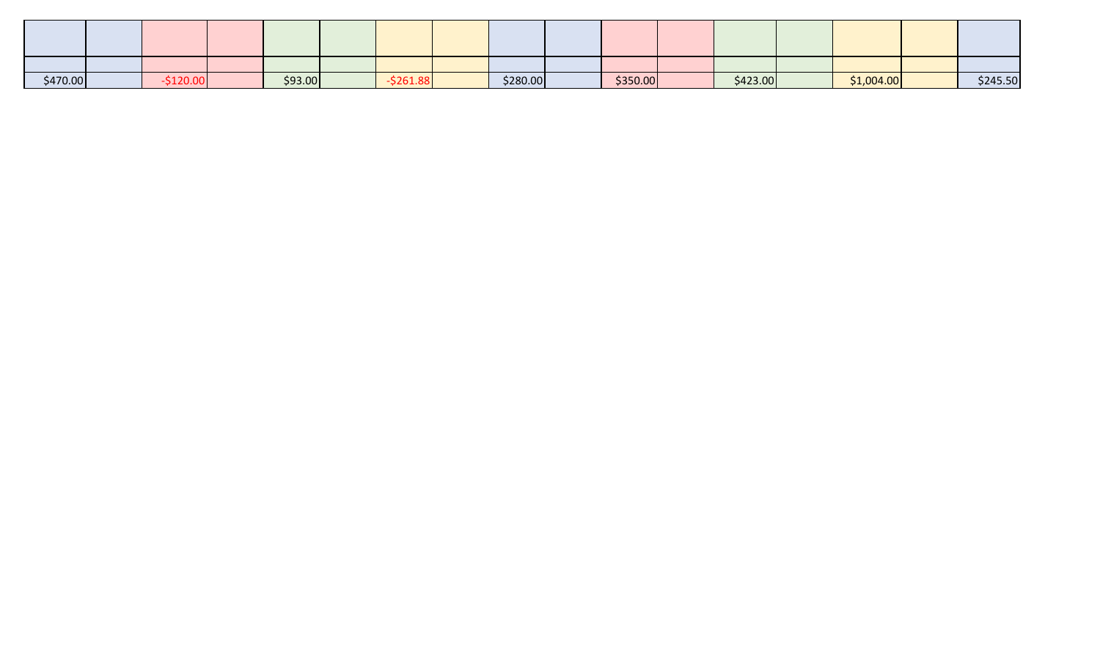| \$470.00 |  | \$93.00 | סס.⊥ט∠ | \$280.00 | \$350.00 | \$423.00 | \$1,004.00 | \$245.50 |
|----------|--|---------|--------|----------|----------|----------|------------|----------|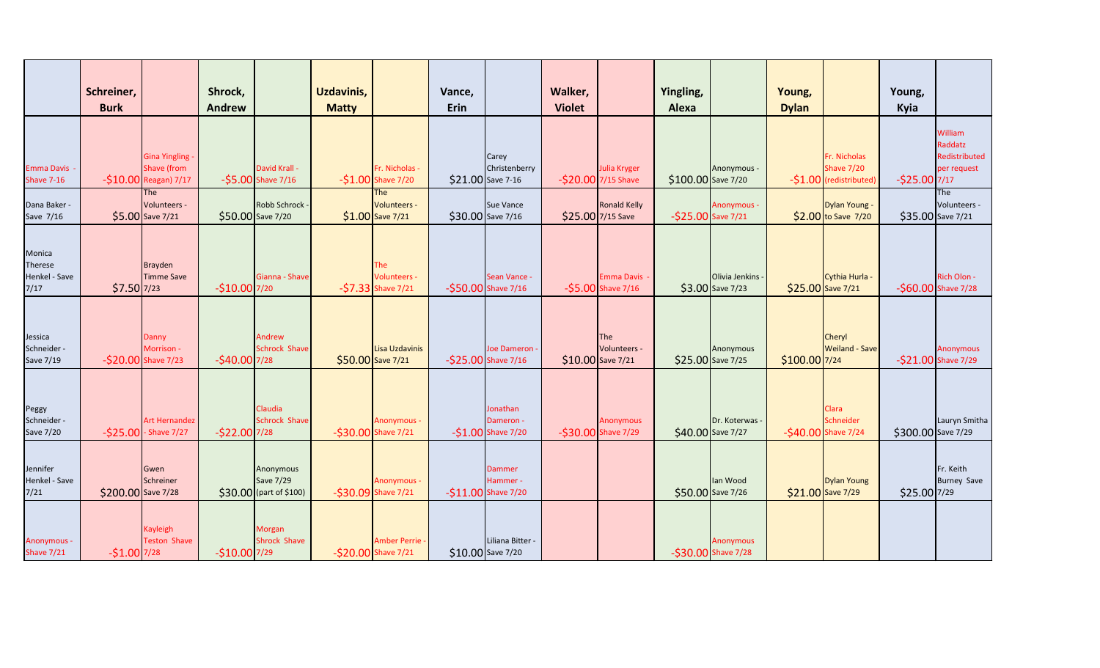|                                                     | Schreiner,<br><b>Burk</b> |                                                                       | Shrock,<br><b>Andrew</b> |                                                   | <b>Uzdavinis,</b><br><b>Matty</b> |                                              | Vance,<br>Erin |                                                     | Walker,<br><b>Violet</b> |                                                 | Yingling,<br>Alexa |                                         | Young,<br><b>Dylan</b> |                                                              | Young,<br>Kyia     |                                                    |
|-----------------------------------------------------|---------------------------|-----------------------------------------------------------------------|--------------------------|---------------------------------------------------|-----------------------------------|----------------------------------------------|----------------|-----------------------------------------------------|--------------------------|-------------------------------------------------|--------------------|-----------------------------------------|------------------------|--------------------------------------------------------------|--------------------|----------------------------------------------------|
| <b>Emma Davis</b><br><b>Shave 7-16</b>              |                           | <b>Gina Yingling -</b><br><b>Shave (from</b><br>-\$10.00 Reagan) 7/17 |                          | David Krall -<br>$-$ \$5.00 Shave 7/16            |                                   | Fr. Nicholas -<br>$-$1.00$ Shave 7/20        |                | Carey<br>Christenberry<br>\$21.00 Save 7-16         |                          | Julia Kryger<br>-\$20.00 7/15 Shave             | \$100.00 Save 7/20 | Anonymous -                             |                        | Fr. Nicholas<br><b>Shave 7/20</b><br>-\$1.00 (redistributed) | $-$25.00$ 7/17     | William<br>Raddatz<br>Redistributed<br>per request |
| Dana Baker -<br>Save 7/16                           |                           | The<br>Volunteers -<br>\$5.00 Save 7/21                               |                          | Robb Schrock<br>\$50.00 Save 7/20                 |                                   | The<br>Volunteers -<br>$$1.00$ Save 7/21     |                | <b>Sue Vance</b><br>\$30.00 Save 7/16               |                          | <b>Ronald Kelly</b><br>\$25.00 7/15 Save        | -\$25.00 Save 7/21 | <b>Anonymous -</b>                      |                        | Dylan Young -<br>\$2.00 to Save 7/20                         |                    | <b>The</b><br>Volunteers -<br>\$35.00 Save 7/21    |
| Monica<br><b>Therese</b><br>Henkel - Save<br>$7/17$ | $$7.50$ 7/23              | <b>Brayden</b><br><b>Timme Save</b>                                   | $-$10.00$ 7/20           | Gianna - Shave                                    |                                   | The<br>Volunteers -<br>$-57.33$ Shave $7/21$ |                | Sean Vance -<br>-\$50.00 Shave 7/16                 |                          | <b>Emma Davis</b><br>$-55.00$ Shave 7/16        |                    | Olivia Jenkins -<br>\$3.00 Save 7/23    |                        | Cythia Hurla -<br>\$25.00 Save 7/21                          |                    | Rich Olon -<br>-\$60.00 Shave 7/28                 |
| Jessica<br>Schneider -<br>Save 7/19                 |                           | Danny<br>Morrison -<br>-\$20.00 Shave 7/23                            | $-$40.00$ 7/28           | Andrew<br><b>Schrock Shave</b>                    |                                   | Lisa Uzdavinis<br>\$50.00 Save 7/21          |                | Joe Dameron<br>-\$25.00 Shave 7/16                  |                          | <b>The</b><br>Volunteers -<br>\$10.00 Save 7/21 |                    | Anonymous<br>\$25.00 Save 7/25          | \$100.00 7/24          | Cheryl<br>Weiland - Save                                     |                    | <b>Anonymous</b><br>-\$21.00 Shave 7/29            |
| Peggy<br>Schneider -<br><b>Save 7/20</b>            |                           | <b>Art Hernandez</b><br>$-$25.00$ - Shave 7/27                        | $-$22.00$ 7/28           | Claudia<br><b>Schrock Shave</b>                   |                                   | <b>Anonymous -</b><br>-\$30.00 Shave 7/21    |                | Jonathan<br>Dameron -<br>$-51.00$ Shave 7/20        |                          | <b>Anonymous</b><br>-\$30.00 Shave 7/29         |                    | Dr. Koterwas<br>\$40.00 Save 7/27       |                        | Clara<br>Schneider<br>-\$40.00 Shave 7/24                    | \$300.00 Save 7/29 | Lauryn Smitha                                      |
| Jennifer<br>Henkel - Save<br>$7/21$                 | \$200.00 Save 7/28        | Gwen<br>Schreiner                                                     |                          | Anonymous<br>Save 7/29<br>\$30.00 (part of \$100) |                                   | <b>Anonymous -</b><br>-\$30.09 Shave 7/21    |                | <b>Dammer</b><br>Hammer -<br>$-$11.00$ Shave $7/20$ |                          |                                                 |                    | lan Wood<br>\$50.00 Save 7/26           |                        | Dylan Young<br>\$21.00 Save 7/29                             | \$25.00 7/29       | Fr. Keith<br><b>Burney Save</b>                    |
| Anonymous -<br><b>Shave 7/21</b>                    | $-$1.00$ 7/28             | Kayleigh<br><b>Teston Shave</b>                                       | $-$10.00$ 7/29           | Morgan<br>Shrock Shave                            |                                   | Amber Perrie -<br>-\$20.00 Shave 7/21        |                | Liliana Bitter -<br>\$10.00 Save 7/20               |                          |                                                 |                    | <b>Anonymous</b><br>-\$30.00 Shave 7/28 |                        |                                                              |                    |                                                    |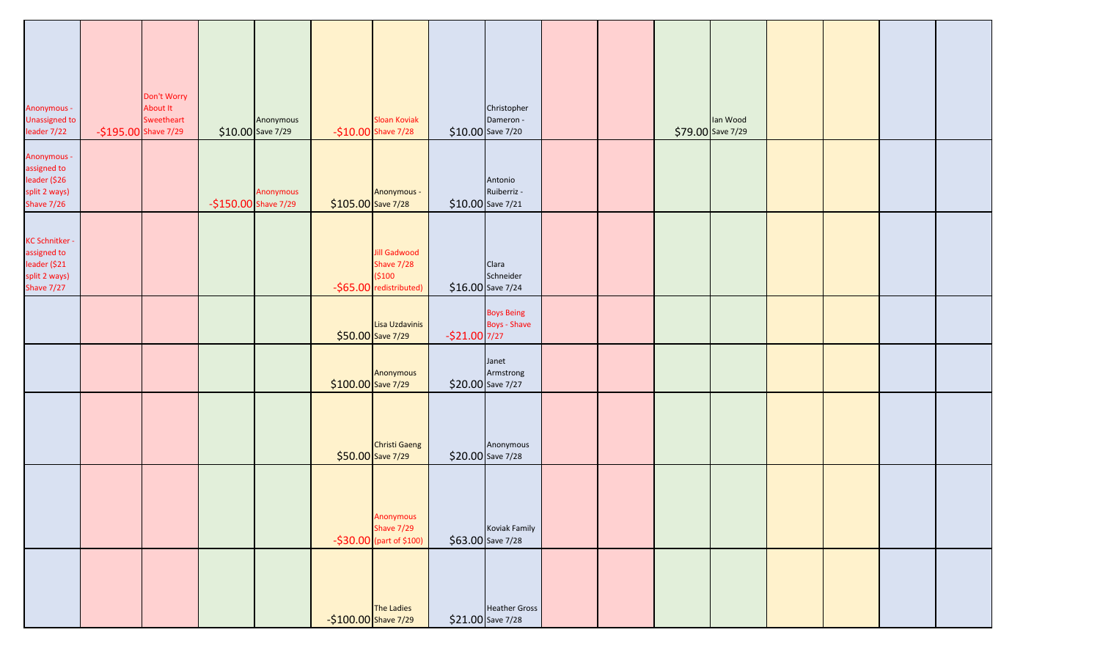| Anonymous -<br><b>Unassigned to</b><br>leader 7/22                                  | -\$195.00 Shave 7/29 | Don't Worry<br>About It<br>Sweetheart |                      | Anonymous<br>$$10.00$ Save 7/29 |                         | Sloan Koviak<br>$-$10.00$ Shave 7/28                                    |                | Christopher<br>Dameron -<br>\$10.00 Save 7/20 |  | lan Wood<br>\$79.00 Save 7/29 |  |  |
|-------------------------------------------------------------------------------------|----------------------|---------------------------------------|----------------------|---------------------------------|-------------------------|-------------------------------------------------------------------------|----------------|-----------------------------------------------|--|-------------------------------|--|--|
| Anonymous -<br>assigned to<br>leader (\$26<br>split 2 ways)<br><b>Shave 7/26</b>    |                      |                                       | -\$150.00 Shave 7/29 | Anonymous                       | $$105.00$ Save 7/28     | Anonymous -                                                             |                | Antonio<br>Ruiberriz -<br>$$10.00$ Save 7/21  |  |                               |  |  |
| <b>KC Schnitker -</b><br>assigned to<br>leader (\$21<br>split 2 ways)<br>Shave 7/27 |                      |                                       |                      |                                 |                         | <b>Jill Gadwood</b><br>Shave 7/28<br>( \$100<br>-\$65.00 redistributed) |                | Clara<br>Schneider<br>$$16.00$ Save 7/24      |  |                               |  |  |
|                                                                                     |                      |                                       |                      |                                 |                         | Lisa Uzdavinis<br>\$50.00 Save 7/29                                     | $-521.00$ 7/27 | <b>Boys Being</b><br><b>Boys - Shave</b>      |  |                               |  |  |
|                                                                                     |                      |                                       |                      |                                 | $$100.00$ Save 7/29     | Anonymous                                                               |                | Janet<br>Armstrong<br>\$20.00 Save 7/27       |  |                               |  |  |
|                                                                                     |                      |                                       |                      |                                 |                         | Christi Gaeng<br>\$50.00 Save 7/29                                      |                | Anonymous<br>$$20.00$ Save 7/28               |  |                               |  |  |
|                                                                                     |                      |                                       |                      |                                 |                         | Anonymous<br>Shave 7/29<br>$-$ \$30.00 (part of \$100)                  |                | Koviak Family<br>\$63.00 Save 7/28            |  |                               |  |  |
|                                                                                     |                      |                                       |                      |                                 | $-$ \$100.00 Shave 7/29 | The Ladies                                                              |                | <b>Heather Gross</b><br>$$21.00$ Save 7/28    |  |                               |  |  |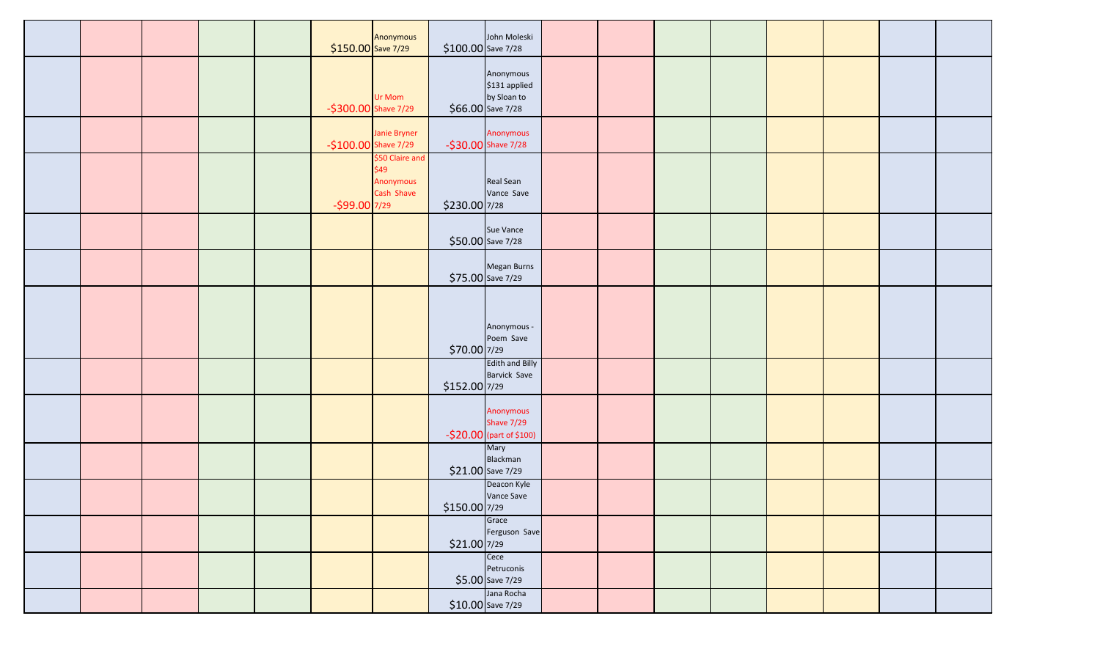|  |  | \$150.00 Save 7/29   | Anonymous                                          | $$100.00$ Save 7/28 | John Moleski                                                   |  |  |  |  |
|--|--|----------------------|----------------------------------------------------|---------------------|----------------------------------------------------------------|--|--|--|--|
|  |  | -\$300.00 Shave 7/29 | Ur Mom                                             |                     | Anonymous<br>\$131 applied<br>by Sloan to<br>\$66.00 Save 7/28 |  |  |  |  |
|  |  | -\$100.00 Shave 7/29 | Janie Bryner                                       |                     | Anonymous<br>-\$30.00 Shave 7/28                               |  |  |  |  |
|  |  | $-$ \$99.00 7/29     | \$50 Claire and<br>\$49<br>Anonymous<br>Cash Shave | \$230.00 7/28       | Real Sean<br>Vance Save                                        |  |  |  |  |
|  |  |                      |                                                    |                     | Sue Vance<br>\$50.00 Save 7/28                                 |  |  |  |  |
|  |  |                      |                                                    |                     | Megan Burns<br>$$75.00$ Save 7/29                              |  |  |  |  |
|  |  |                      |                                                    | \$70.00 7/29        | Anonymous -<br>Poem Save                                       |  |  |  |  |
|  |  |                      |                                                    | \$152.00 7/29       | <b>Edith and Billy</b><br><b>Barvick Save</b>                  |  |  |  |  |
|  |  |                      |                                                    |                     | Anonymous<br>Shave 7/29<br>-\$20.00 (part of \$100)            |  |  |  |  |
|  |  |                      |                                                    |                     | Mary<br>Blackman<br>\$21.00 Save 7/29                          |  |  |  |  |
|  |  |                      |                                                    | \$150.00 7/29       | Deacon Kyle<br>Vance Save                                      |  |  |  |  |
|  |  |                      |                                                    | $$21.00$ 7/29       | Grace<br>Ferguson Save                                         |  |  |  |  |
|  |  |                      |                                                    |                     | Cece<br>Petruconis<br>$$5.00$ Save 7/29                        |  |  |  |  |
|  |  |                      |                                                    |                     | Jana Rocha<br>$$10.00$ Save 7/29                               |  |  |  |  |